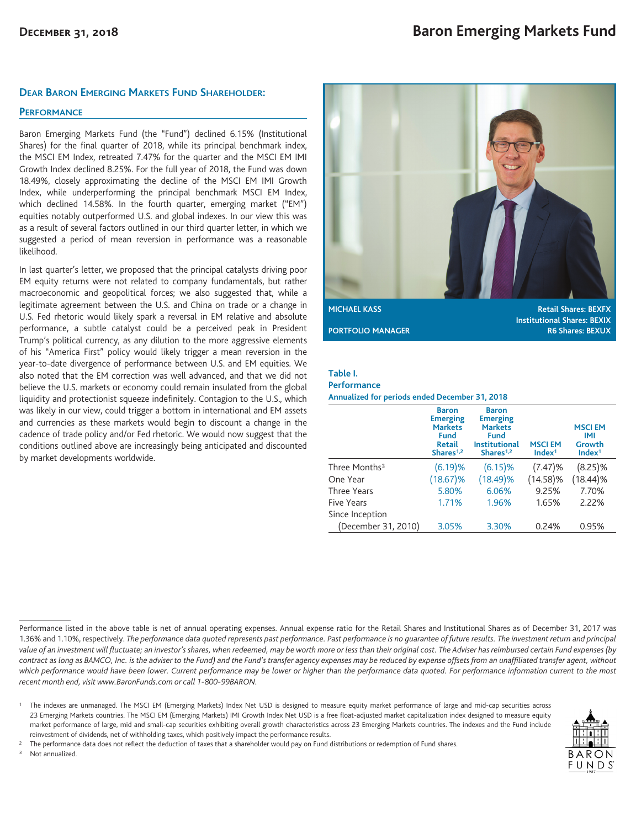### **DEAR BARON EMERGING MARKETS FUND SHAREHOLDER:**

### **PERFORMANCE**

Baron Emerging Markets Fund (the "Fund") declined 6.15% (Institutional Shares) for the final quarter of 2018, while its principal benchmark index, the MSCI EM Index, retreated 7.47% for the quarter and the MSCI EM IMI Growth Index declined 8.25%. For the full year of 2018, the Fund was down 18.49%, closely approximating the decline of the MSCI EM IMI Growth Index, while underperforming the principal benchmark MSCI EM Index, which declined 14.58%. In the fourth quarter, emerging market ("EM") equities notably outperformed U.S. and global indexes. In our view this was as a result of several factors outlined in our third quarter letter, in which we suggested a period of mean reversion in performance was a reasonable likelihood.

In last quarter's letter, we proposed that the principal catalysts driving poor EM equity returns were not related to company fundamentals, but rather macroeconomic and geopolitical forces; we also suggested that, while a legitimate agreement between the U.S. and China on trade or a change in U.S. Fed rhetoric would likely spark a reversal in EM relative and absolute performance, a subtle catalyst could be a perceived peak in President Trump's political currency, as any dilution to the more aggressive elements of his "America First" policy would likely trigger a mean reversion in the year-to-date divergence of performance between U.S. and EM equities. We also noted that the EM correction was well advanced, and that we did not believe the U.S. markets or economy could remain insulated from the global liquidity and protectionist squeeze indefinitely. Contagion to the U.S., which was likely in our view, could trigger a bottom in international and EM assets and currencies as these markets would begin to discount a change in the cadence of trade policy and/or Fed rhetoric. We would now suggest that the conditions outlined above are increasingly being anticipated and discounted by market developments worldwide.



**Institutional Shares: BEXIX PORTFOLIO MANAGER R6 Shares: BEXUX** 

### **Table I.**

#### **Performance**

**Annualized for periods ended December 31, 2018**

|                           | <b>Baron</b><br><b>Emerging</b><br><b>Markets</b><br><b>Fund</b><br><b>Retail</b><br>Shares <sup>1,2</sup> | <b>Baron</b><br><b>Emerging</b><br><b>Markets</b><br><b>Fund</b><br><b>Institutional</b><br>Shares <sup>1,2</sup> | <b>MSCIEM</b><br>Index <sup>1</sup> | <b>MSCI EM</b><br><b>IMI</b><br>Growth<br>Index <sup>1</sup> |
|---------------------------|------------------------------------------------------------------------------------------------------------|-------------------------------------------------------------------------------------------------------------------|-------------------------------------|--------------------------------------------------------------|
| Three Months <sup>3</sup> | (6.19)%                                                                                                    | (6.15)%                                                                                                           | (7.47)%                             | $(8.25)\%$                                                   |
| One Year                  | $(18.67)\%$                                                                                                | $(18.49)\%$                                                                                                       | $(14.58)\%$                         | $(18.44)\%$                                                  |
| <b>Three Years</b>        | 5.80%                                                                                                      | 6.06%                                                                                                             | 9.25%                               | 7.70%                                                        |
| <b>Five Years</b>         | 1.71%                                                                                                      | 1.96%                                                                                                             | 1.65%                               | 2.22%                                                        |
| Since Inception           |                                                                                                            |                                                                                                                   |                                     |                                                              |
| (December 31, 2010)       | 3.05%                                                                                                      | 3.30%                                                                                                             | 0.24%                               | 0.95%                                                        |

Performance listed in the above table is net of annual operating expenses. Annual expense ratio for the Retail Shares and Institutional Shares as of December 31, 2017 was 1.36% and 1.10%, respectively. *The performance data quoted represents past performance. Past performance is no guarantee of future results. The investment return and principal value of an investment will fluctuate; an investor's shares, when redeemed, may be worth more or less than their original cost. The Adviser has reimbursed certain Fund expenses (by contract as long as BAMCO, Inc. is the adviser to the Fund) and the Fund's transfer agency expenses may be reduced by expense offsets from an unaffiliated transfer agent, without which performance would have been lower. Current performance may be lower or higher than the performance data quoted. For performance information current to the most recent month end, visit www.BaronFunds.com or call 1-800-99BARON.*

<sup>1</sup> The indexes are unmanaged. The MSCI EM (Emerging Markets) Index Net USD is designed to measure equity market performance of large and mid-cap securities across 23 Emerging Markets countries. The MSCI EM (Emerging Markets) IMI Growth Index Net USD is a free float-adjusted market capitalization index designed to measure equity market performance of large, mid and small-cap securities exhibiting overall growth characteristics across 23 Emerging Markets countries. The indexes and the Fund include reinvestment of dividends, net of withholding taxes, which positively impact the performance results.



<sup>2</sup> The performance data does not reflect the deduction of taxes that a shareholder would pay on Fund distributions or redemption of Fund shares.

Not annualized.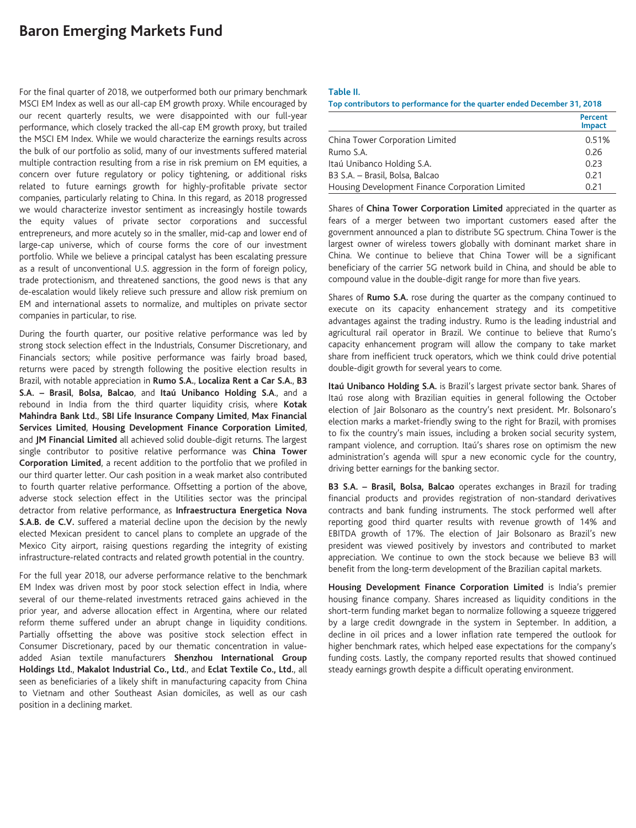# **Baron Emerging Markets Fund**

For the final quarter of 2018, we outperformed both our primary benchmark MSCI EM Index as well as our all-cap EM growth proxy. While encouraged by our recent quarterly results, we were disappointed with our full-year performance, which closely tracked the all-cap EM growth proxy, but trailed the MSCI EM Index. While we would characterize the earnings results across the bulk of our portfolio as solid, many of our investments suffered material multiple contraction resulting from a rise in risk premium on EM equities, a concern over future regulatory or policy tightening, or additional risks related to future earnings growth for highly-profitable private sector companies, particularly relating to China. In this regard, as 2018 progressed we would characterize investor sentiment as increasingly hostile towards the equity values of private sector corporations and successful entrepreneurs, and more acutely so in the smaller, mid-cap and lower end of large-cap universe, which of course forms the core of our investment portfolio. While we believe a principal catalyst has been escalating pressure as a result of unconventional U.S. aggression in the form of foreign policy, trade protectionism, and threatened sanctions, the good news is that any de-escalation would likely relieve such pressure and allow risk premium on EM and international assets to normalize, and multiples on private sector companies in particular, to rise.

During the fourth quarter, our positive relative performance was led by strong stock selection effect in the Industrials, Consumer Discretionary, and Financials sectors; while positive performance was fairly broad based, returns were paced by strength following the positive election results in Brazil, with notable appreciation in **Rumo S.A.**, **Localiza Rent a Car S.A.**, **B3 S.A. – Brasil**, **Bolsa, Balcao**, and **Itaú Unibanco Holding S.A**., and a rebound in India from the third quarter liquidity crisis, where **Kotak Mahindra Bank Ltd.**, **SBI Life Insurance Company Limited**, **Max Financial Services Limited**, **Housing Development Finance Corporation Limited**, and **JM Financial Limited** all achieved solid double-digit returns. The largest single contributor to positive relative performance was **China Tower Corporation Limited**, a recent addition to the portfolio that we profiled in our third quarter letter. Our cash position in a weak market also contributed to fourth quarter relative performance. Offsetting a portion of the above, adverse stock selection effect in the Utilities sector was the principal detractor from relative performance, as **Infraestructura Energetica Nova S.A.B. de C.V.** suffered a material decline upon the decision by the newly elected Mexican president to cancel plans to complete an upgrade of the Mexico City airport, raising questions regarding the integrity of existing infrastructure-related contracts and related growth potential in the country.

For the full year 2018, our adverse performance relative to the benchmark EM Index was driven most by poor stock selection effect in India, where several of our theme-related investments retraced gains achieved in the prior year, and adverse allocation effect in Argentina, where our related reform theme suffered under an abrupt change in liquidity conditions. Partially offsetting the above was positive stock selection effect in Consumer Discretionary, paced by our thematic concentration in valueadded Asian textile manufacturers **Shenzhou International Group Holdings Ltd.**, **Makalot Industrial Co., Ltd.**, and **Eclat Textile Co., Ltd.**, all seen as beneficiaries of a likely shift in manufacturing capacity from China to Vietnam and other Southeast Asian domiciles, as well as our cash position in a declining market.

#### **Table II.**

| Top contributors to performance for the quarter ended December 31, 2018 |                          |  |
|-------------------------------------------------------------------------|--------------------------|--|
|                                                                         | Percent<br><b>Impact</b> |  |
| China Tower Corporation Limited                                         | 0.51%                    |  |
| Rumo S.A.                                                               | 0.26                     |  |
| Itaú Unibanco Holding S.A.                                              | 0.23                     |  |
| B3 S.A. - Brasil, Bolsa, Balcao                                         | 0.21                     |  |
| Housing Development Finance Corporation Limited                         | 0.21                     |  |

Shares of **China Tower Corporation Limited** appreciated in the quarter as fears of a merger between two important customers eased after the government announced a plan to distribute 5G spectrum. China Tower is the largest owner of wireless towers globally with dominant market share in China. We continue to believe that China Tower will be a significant beneficiary of the carrier 5G network build in China, and should be able to compound value in the double-digit range for more than five years.

Shares of **Rumo S.A.** rose during the quarter as the company continued to execute on its capacity enhancement strategy and its competitive advantages against the trading industry. Rumo is the leading industrial and agricultural rail operator in Brazil. We continue to believe that Rumo's capacity enhancement program will allow the company to take market share from inefficient truck operators, which we think could drive potential double-digit growth for several years to come.

**Itaú Unibanco Holding S.A.** is Brazil's largest private sector bank. Shares of Itaú rose along with Brazilian equities in general following the October election of Jair Bolsonaro as the country's next president. Mr. Bolsonaro's election marks a market-friendly swing to the right for Brazil, with promises to fix the country's main issues, including a broken social security system, rampant violence, and corruption. Itaú's shares rose on optimism the new administration's agenda will spur a new economic cycle for the country, driving better earnings for the banking sector.

**B3 S.A. – Brasil, Bolsa, Balcao** operates exchanges in Brazil for trading financial products and provides registration of non-standard derivatives contracts and bank funding instruments. The stock performed well after reporting good third quarter results with revenue growth of 14% and EBITDA growth of 17%. The election of Jair Bolsonaro as Brazil's new president was viewed positively by investors and contributed to market appreciation. We continue to own the stock because we believe B3 will benefit from the long-term development of the Brazilian capital markets.

**Housing Development Finance Corporation Limited** is India's premier housing finance company. Shares increased as liquidity conditions in the short-term funding market began to normalize following a squeeze triggered by a large credit downgrade in the system in September. In addition, a decline in oil prices and a lower inflation rate tempered the outlook for higher benchmark rates, which helped ease expectations for the company's funding costs. Lastly, the company reported results that showed continued steady earnings growth despite a difficult operating environment.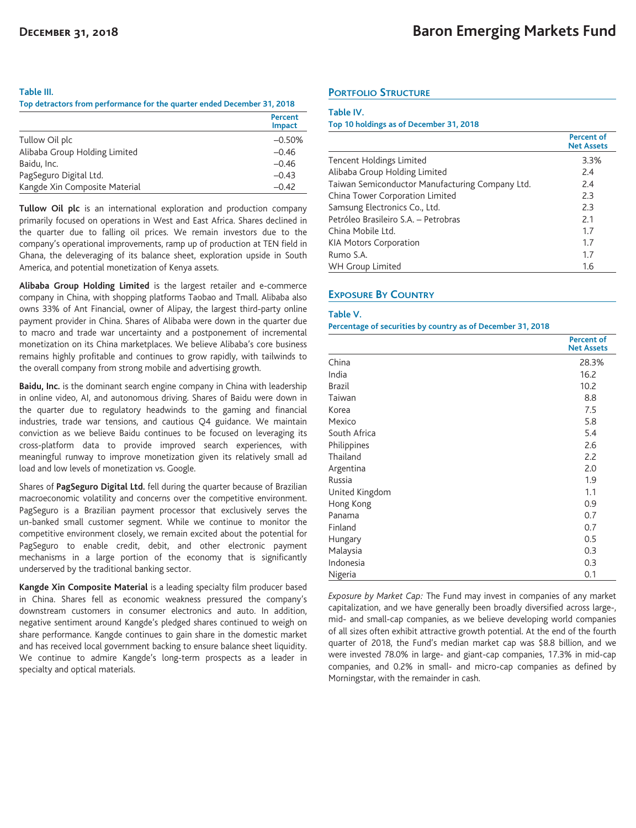#### **Table III.**

**Top detractors from performance for the quarter ended December 31, 2018**

|                               | Percent<br><b>Impact</b> |
|-------------------------------|--------------------------|
| Tullow Oil plc                | $-0.50%$                 |
| Alibaba Group Holding Limited | $-0.46$                  |
| Baidu, Inc.                   | $-0.46$                  |
| PagSeguro Digital Ltd.        | $-0.43$                  |
| Kangde Xin Composite Material | $-0.42$                  |

**Tullow Oil plc** is an international exploration and production company primarily focused on operations in West and East Africa. Shares declined in the quarter due to falling oil prices. We remain investors due to the company's operational improvements, ramp up of production at TEN field in Ghana, the deleveraging of its balance sheet, exploration upside in South America, and potential monetization of Kenya assets.

**Alibaba Group Holding Limited** is the largest retailer and e-commerce company in China, with shopping platforms Taobao and Tmall. Alibaba also owns 33% of Ant Financial, owner of Alipay, the largest third-party online payment provider in China. Shares of Alibaba were down in the quarter due to macro and trade war uncertainty and a postponement of incremental monetization on its China marketplaces. We believe Alibaba's core business remains highly profitable and continues to grow rapidly, with tailwinds to the overall company from strong mobile and advertising growth.

**Baidu, Inc.** is the dominant search engine company in China with leadership in online video, AI, and autonomous driving. Shares of Baidu were down in the quarter due to regulatory headwinds to the gaming and financial industries, trade war tensions, and cautious Q4 guidance. We maintain conviction as we believe Baidu continues to be focused on leveraging its cross-platform data to provide improved search experiences, with meaningful runway to improve monetization given its relatively small ad load and low levels of monetization vs. Google.

Shares of **PagSeguro Digital Ltd.** fell during the quarter because of Brazilian macroeconomic volatility and concerns over the competitive environment. PagSeguro is a Brazilian payment processor that exclusively serves the un-banked small customer segment. While we continue to monitor the competitive environment closely, we remain excited about the potential for PagSeguro to enable credit, debit, and other electronic payment mechanisms in a large portion of the economy that is significantly underserved by the traditional banking sector.

**Kangde Xin Composite Material** is a leading specialty film producer based in China. Shares fell as economic weakness pressured the company's downstream customers in consumer electronics and auto. In addition, negative sentiment around Kangde's pledged shares continued to weigh on share performance. Kangde continues to gain share in the domestic market and has received local government backing to ensure balance sheet liquidity. We continue to admire Kangde's long-term prospects as a leader in specialty and optical materials.

### **PORTFOLIO STRUCTURE**

#### **Table IV.**

#### **Top 10 holdings as of December 31, 2018**

|                                                 | <b>Percent of</b><br><b>Net Assets</b> |
|-------------------------------------------------|----------------------------------------|
| Tencent Holdings Limited                        | 3.3%                                   |
| Alibaba Group Holding Limited                   | 2.4                                    |
| Taiwan Semiconductor Manufacturing Company Ltd. | 2.4                                    |
| China Tower Corporation Limited                 | 2.3                                    |
| Samsung Electronics Co., Ltd.                   | 2.3                                    |
| Petróleo Brasileiro S.A. - Petrobras            | 2.1                                    |
| China Mobile Ltd.                               | 1.7                                    |
| <b>KIA Motors Corporation</b>                   | 1.7                                    |
| Rumo S.A.                                       | 1.7                                    |
| WH Group Limited                                | 1.6                                    |

### **EXPOSURE BY COUNTRY**

#### **Table V.**

#### **Percentage of securities by country as of December 31, 2018**

|                | <b>Percent of</b><br><b>Net Assets</b> |
|----------------|----------------------------------------|
| China          | 28.3%                                  |
| India          | 16.2                                   |
| <b>Brazil</b>  | 10.2                                   |
| Taiwan         | 8.8                                    |
| Korea          | 7.5                                    |
| Mexico         | 5.8                                    |
| South Africa   | 5.4                                    |
| Philippines    | 2.6                                    |
| Thailand       | 2.2                                    |
| Argentina      | 2.0                                    |
| Russia         | 1.9                                    |
| United Kingdom | 1.1                                    |
| Hong Kong      | 0.9                                    |
| Panama         | 0.7                                    |
| Finland        | 0.7                                    |
| Hungary        | 0.5                                    |
| Malaysia       | 0.3                                    |
| Indonesia      | 0.3                                    |
| Nigeria        | 0.1                                    |

*Exposure by Market Cap:* The Fund may invest in companies of any market capitalization, and we have generally been broadly diversified across large-, mid- and small-cap companies, as we believe developing world companies of all sizes often exhibit attractive growth potential. At the end of the fourth quarter of 2018, the Fund's median market cap was \$8.8 billion, and we were invested 78.0% in large- and giant-cap companies, 17.3% in mid-cap companies, and 0.2% in small- and micro-cap companies as defined by Morningstar, with the remainder in cash.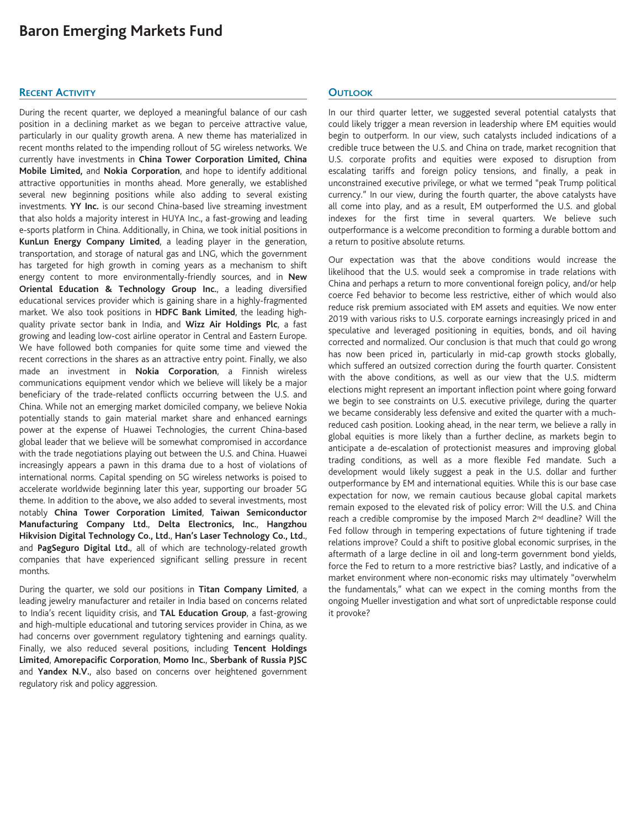# **Baron Emerging Markets Fund**

### **RECENT ACTIVITY**

During the recent quarter, we deployed a meaningful balance of our cash position in a declining market as we began to perceive attractive value, particularly in our quality growth arena. A new theme has materialized in recent months related to the impending rollout of 5G wireless networks. We currently have investments in **China Tower Corporation Limited, China Mobile Limited,** and **Nokia Corporation**, and hope to identify additional attractive opportunities in months ahead. More generally, we established several new beginning positions while also adding to several existing investments. **YY Inc.** is our second China-based live streaming investment that also holds a majority interest in HUYA Inc., a fast-growing and leading e-sports platform in China. Additionally, in China, we took initial positions in **KunLun Energy Company Limited**, a leading player in the generation, transportation, and storage of natural gas and LNG, which the government has targeted for high growth in coming years as a mechanism to shift energy content to more environmentally-friendly sources, and in **New Oriental Education & Technology Group Inc.**, a leading diversified educational services provider which is gaining share in a highly-fragmented market. We also took positions in **HDFC Bank Limited**, the leading highquality private sector bank in India, and **Wizz Air Holdings Plc**, a fast growing and leading low-cost airline operator in Central and Eastern Europe. We have followed both companies for quite some time and viewed the recent corrections in the shares as an attractive entry point. Finally, we also made an investment in **Nokia Corporation**, a Finnish wireless communications equipment vendor which we believe will likely be a major beneficiary of the trade-related conflicts occurring between the U.S. and China. While not an emerging market domiciled company, we believe Nokia potentially stands to gain material market share and enhanced earnings power at the expense of Huawei Technologies, the current China-based global leader that we believe will be somewhat compromised in accordance with the trade negotiations playing out between the U.S. and China. Huawei increasingly appears a pawn in this drama due to a host of violations of international norms. Capital spending on 5G wireless networks is poised to accelerate worldwide beginning later this year, supporting our broader 5G theme. In addition to the above**,** we also added to several investments, most notably **China Tower Corporation Limited**, **Taiwan Semiconductor Manufacturing Company Ltd.**, **Delta Electronics, Inc.**, **Hangzhou Hikvision Digital Technology Co., Ltd.**, **Han's Laser Technology Co., Ltd.**, and **PagSeguro Digital Ltd.**, all of which are technology-related growth companies that have experienced significant selling pressure in recent months.

During the quarter, we sold our positions in **Titan Company Limited**, a leading jewelry manufacturer and retailer in India based on concerns related to India's recent liquidity crisis, and **TAL Education Group**, a fast-growing and high-multiple educational and tutoring services provider in China, as we had concerns over government regulatory tightening and earnings quality. Finally, we also reduced several positions, including **Tencent Holdings Limited**, **Amorepacific Corporation**, **Momo Inc.**, **Sberbank of Russia PJSC** and **Yandex N.V.**, also based on concerns over heightened government regulatory risk and policy aggression.

## **OUTLOOK**

In our third quarter letter, we suggested several potential catalysts that could likely trigger a mean reversion in leadership where EM equities would begin to outperform. In our view, such catalysts included indications of a credible truce between the U.S. and China on trade, market recognition that U.S. corporate profits and equities were exposed to disruption from escalating tariffs and foreign policy tensions, and finally, a peak in unconstrained executive privilege, or what we termed "peak Trump political currency." In our view, during the fourth quarter, the above catalysts have all come into play, and as a result, EM outperformed the U.S. and global indexes for the first time in several quarters. We believe such outperformance is a welcome precondition to forming a durable bottom and a return to positive absolute returns.

Our expectation was that the above conditions would increase the likelihood that the U.S. would seek a compromise in trade relations with China and perhaps a return to more conventional foreign policy, and/or help coerce Fed behavior to become less restrictive, either of which would also reduce risk premium associated with EM assets and equities. We now enter 2019 with various risks to U.S. corporate earnings increasingly priced in and speculative and leveraged positioning in equities, bonds, and oil having corrected and normalized. Our conclusion is that much that could go wrong has now been priced in, particularly in mid-cap growth stocks globally, which suffered an outsized correction during the fourth quarter. Consistent with the above conditions, as well as our view that the U.S. midterm elections might represent an important inflection point where going forward we begin to see constraints on U.S. executive privilege, during the quarter we became considerably less defensive and exited the quarter with a muchreduced cash position. Looking ahead, in the near term, we believe a rally in global equities is more likely than a further decline, as markets begin to anticipate a de-escalation of protectionist measures and improving global trading conditions, as well as a more flexible Fed mandate. Such a development would likely suggest a peak in the U.S. dollar and further outperformance by EM and international equities. While this is our base case expectation for now, we remain cautious because global capital markets remain exposed to the elevated risk of policy error: Will the U.S. and China reach a credible compromise by the imposed March 2nd deadline? Will the Fed follow through in tempering expectations of future tightening if trade relations improve? Could a shift to positive global economic surprises, in the aftermath of a large decline in oil and long-term government bond yields, force the Fed to return to a more restrictive bias? Lastly, and indicative of a market environment where non-economic risks may ultimately "overwhelm the fundamentals," what can we expect in the coming months from the ongoing Mueller investigation and what sort of unpredictable response could it provoke?